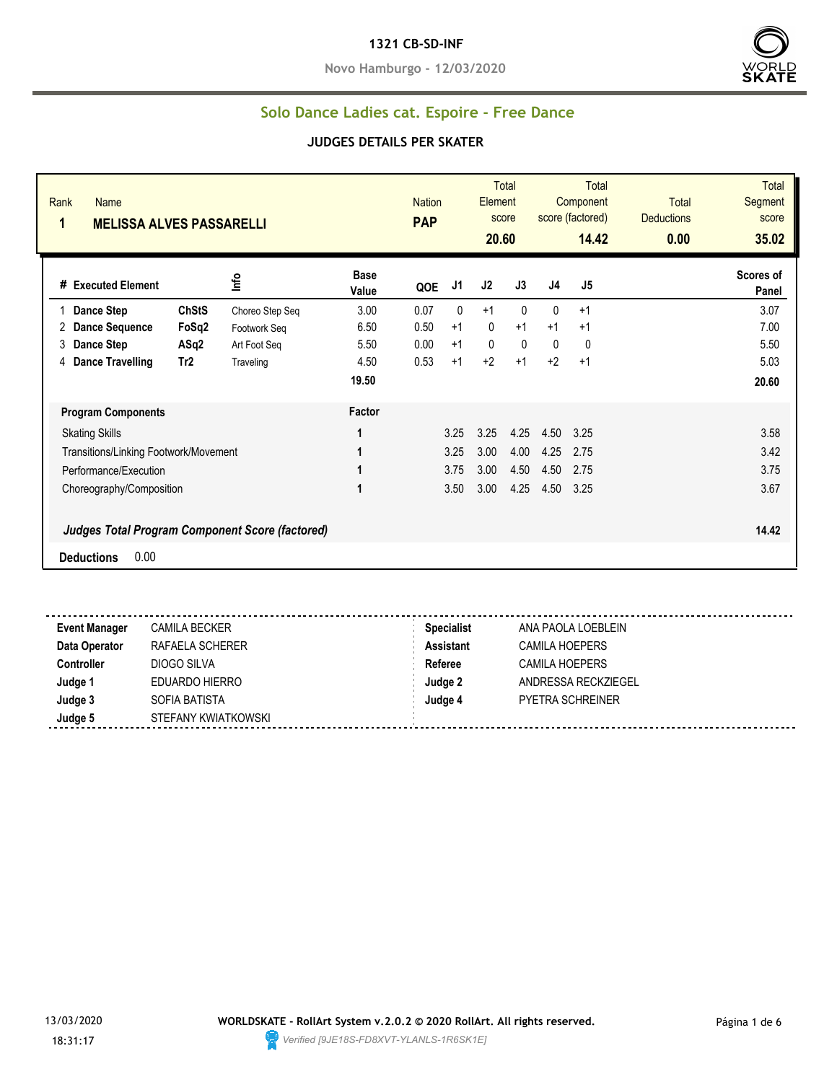#### **1321 CB-SD-INF**

**Novo Hamburgo - 12/03/2020**



#### **Solo Dance Ladies cat. Espoire - Free Dance**

#### **JUDGES DETAILS PER SKATER**

| Rank<br>Name<br>1<br><b>MELISSA ALVES PASSARELLI</b> |                 |                                                 |                      | <b>Nation</b><br><b>PAP</b> |      | Element<br>20.60 | <b>Total</b><br>score |              | <b>Total</b><br>Component<br>score (factored)<br>14.42 | <b>Total</b><br><b>Deductions</b><br>0.00 | <b>Total</b><br>Segment<br>score<br>35.02 |
|------------------------------------------------------|-----------------|-------------------------------------------------|----------------------|-----------------------------|------|------------------|-----------------------|--------------|--------------------------------------------------------|-------------------------------------------|-------------------------------------------|
| # Executed Element                                   |                 | lnfo                                            | <b>Base</b><br>Value | QOE                         | J1   | J2               | J3                    | J4           | J5                                                     |                                           | Scores of<br>Panel                        |
| <b>Dance Step</b>                                    | <b>ChStS</b>    | Choreo Step Seq                                 | 3.00                 | 0.07                        | 0    | $+1$             | $\mathbf{0}$          | $\mathbf{0}$ | $+1$                                                   |                                           | 3.07                                      |
| <b>Dance Sequence</b><br>2                           | FoSq2           | Footwork Seg                                    | 6.50                 | 0.50                        | $+1$ | $\mathbf{0}$     | $+1$                  | $+1$         | $+1$                                                   |                                           | 7.00                                      |
| Dance Step<br>3                                      | ASq2            | Art Foot Seg                                    | 5.50                 | 0.00                        | $+1$ | $\mathbf{0}$     | $\mathbf{0}$          | 0            | $\mathbf{0}$                                           |                                           | 5.50                                      |
| <b>Dance Travelling</b><br>4                         | Tr <sub>2</sub> | Traveling                                       | 4.50                 | 0.53                        | $+1$ | $+2$             | $+1$                  | $+2$         | $+1$                                                   |                                           | 5.03                                      |
|                                                      |                 |                                                 | 19.50                |                             |      |                  |                       |              |                                                        |                                           | 20.60                                     |
| <b>Program Components</b>                            |                 |                                                 | Factor               |                             |      |                  |                       |              |                                                        |                                           |                                           |
| <b>Skating Skills</b>                                |                 |                                                 | 1                    |                             | 3.25 | 3.25             | 4.25                  | 4.50         | 3.25                                                   |                                           | 3.58                                      |
| Transitions/Linking Footwork/Movement                |                 |                                                 | 1                    |                             | 3.25 | 3.00             | 4.00                  | 4.25         | 2.75                                                   |                                           | 3.42                                      |
| Performance/Execution                                |                 |                                                 | 1                    |                             | 3.75 | 3.00             | 4.50                  | 4.50         | 2.75                                                   |                                           | 3.75                                      |
| Choreography/Composition                             |                 |                                                 | 1                    |                             | 3.50 | 3.00             | 4.25                  | 4.50         | 3.25                                                   |                                           | 3.67                                      |
|                                                      |                 | Judges Total Program Component Score (factored) |                      |                             |      |                  |                       |              |                                                        |                                           | 14.42                                     |
| 0.00<br><b>Deductions</b>                            |                 |                                                 |                      |                             |      |                  |                       |              |                                                        |                                           |                                           |
|                                                      |                 |                                                 |                      |                             |      |                  |                       |              |                                                        |                                           |                                           |

**Event Manager** CAMILA BECKER **Specialist** ANA PAOLA LOEBLEIN **Data Operator RAFAELA SCHERER <b>Assistant** CAMILA HOEPERS **Controller** DIOGO SILVA **Referee** CAMILA HOEPERS **Judge 1** EDUARDO HIERRO **Judge 2** ANDRESSA RECKZIEGEL **Judge 3** SOFIA BATISTA **Judge 4** PYETRA SCHREINER **Judge 5** STEFANY KWIATKOWSKI <u>----------------------</u>

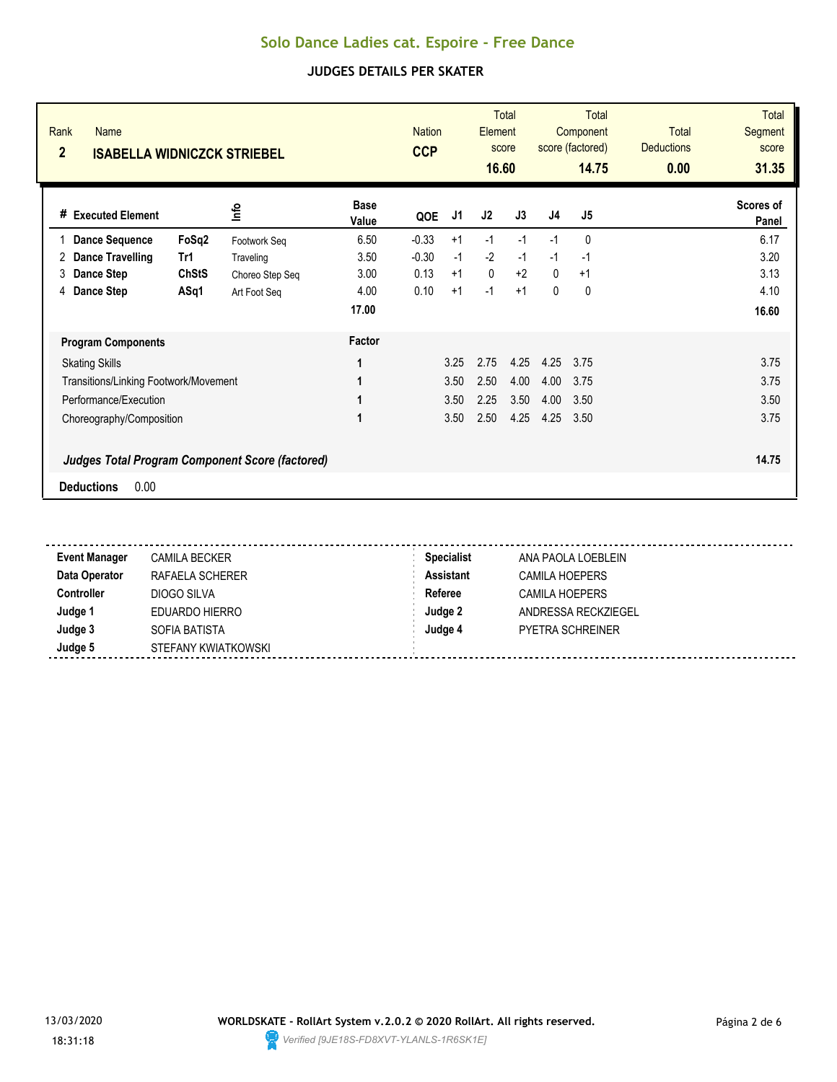| Rank<br><b>Name</b><br>$\overline{2}$<br><b>ISABELLA WIDNICZCK STRIEBEL</b> |              |                 |                      | <b>Nation</b><br><b>CCP</b> |      | Element<br>score<br>16.60 | <b>Total</b> |                | <b>Total</b><br>Component<br>score (factored)<br>14.75 | <b>Total</b><br><b>Deductions</b><br>0.00 | <b>Total</b><br><b>Segment</b><br>score<br>31.35 |
|-----------------------------------------------------------------------------|--------------|-----------------|----------------------|-----------------------------|------|---------------------------|--------------|----------------|--------------------------------------------------------|-------------------------------------------|--------------------------------------------------|
| # Executed Element                                                          |              | <u>nfo</u>      | <b>Base</b><br>Value | QOE                         | J1   | J2                        | J3           | J <sub>4</sub> | J <sub>5</sub>                                         |                                           | Scores of<br>Panel                               |
| <b>Dance Sequence</b>                                                       | FoSq2        | Footwork Seq    | 6.50                 | $-0.33$                     | $+1$ | $-1$                      | $-1$         | $-1$           | 0                                                      |                                           | 6.17                                             |
| <b>Dance Travelling</b><br>2                                                | Tr1          | Traveling       | 3.50                 | $-0.30$                     | $-1$ | $-2$                      | $-1$         | $-1$           | $-1$                                                   |                                           | 3.20                                             |
| Dance Step<br>3                                                             | <b>ChStS</b> | Choreo Step Seq | 3.00                 | 0.13                        | $+1$ | $\mathbf{0}$              | $+2$         | $\mathbf{0}$   | $+1$                                                   |                                           | 3.13                                             |
| 4 Dance Step                                                                | ASq1         | Art Foot Seq    | 4.00                 | 0.10                        | $+1$ | $-1$                      | $+1$         | $\mathbf{0}$   | 0                                                      |                                           | 4.10                                             |
|                                                                             |              |                 | 17.00                |                             |      |                           |              |                |                                                        |                                           | 16.60                                            |
| <b>Program Components</b>                                                   |              |                 | Factor               |                             |      |                           |              |                |                                                        |                                           |                                                  |
| <b>Skating Skills</b>                                                       |              |                 |                      |                             | 3.25 | 2.75                      | 4.25         | 4.25           | 3.75                                                   |                                           | 3.75                                             |
| Transitions/Linking Footwork/Movement                                       |              |                 |                      |                             | 3.50 | 2.50                      | 4.00         | 4.00           | 3.75                                                   |                                           | 3.75                                             |
| Performance/Execution                                                       |              |                 |                      |                             | 3.50 | 2.25                      | 3.50         | 4.00           | 3.50                                                   |                                           | 3.50                                             |
| Choreography/Composition                                                    |              |                 | 1                    |                             | 3.50 | 2.50                      | 4.25         | 4.25           | 3.50                                                   |                                           | 3.75                                             |
| <b>Judges Total Program Component Score (factored)</b>                      |              |                 |                      |                             |      |                           |              |                |                                                        |                                           | 14.75                                            |
| 0.00<br><b>Deductions</b>                                                   |              |                 |                      |                             |      |                           |              |                |                                                        |                                           |                                                  |

| <b>Event Manager</b> | <b>CAMILA BECKER</b> | <b>Specialist</b> | ANA PAOLA LOEBLEIN      |
|----------------------|----------------------|-------------------|-------------------------|
| Data Operator        | RAFAELA SCHERER      | <b>Assistant</b>  | CAMILA HOEPERS          |
| <b>Controller</b>    | DIOGO SILVA          | Referee           | CAMILA HOEPERS          |
| Judge 1              | EDUARDO HIERRO       | Judge 2           | ANDRESSA RECKZIEGEL     |
| Judge 3              | SOFIA BATISTA        | Judge 4           | <b>PYETRA SCHREINER</b> |
| Judge 5              | STEFANY KWIATKOWSKI  |                   |                         |

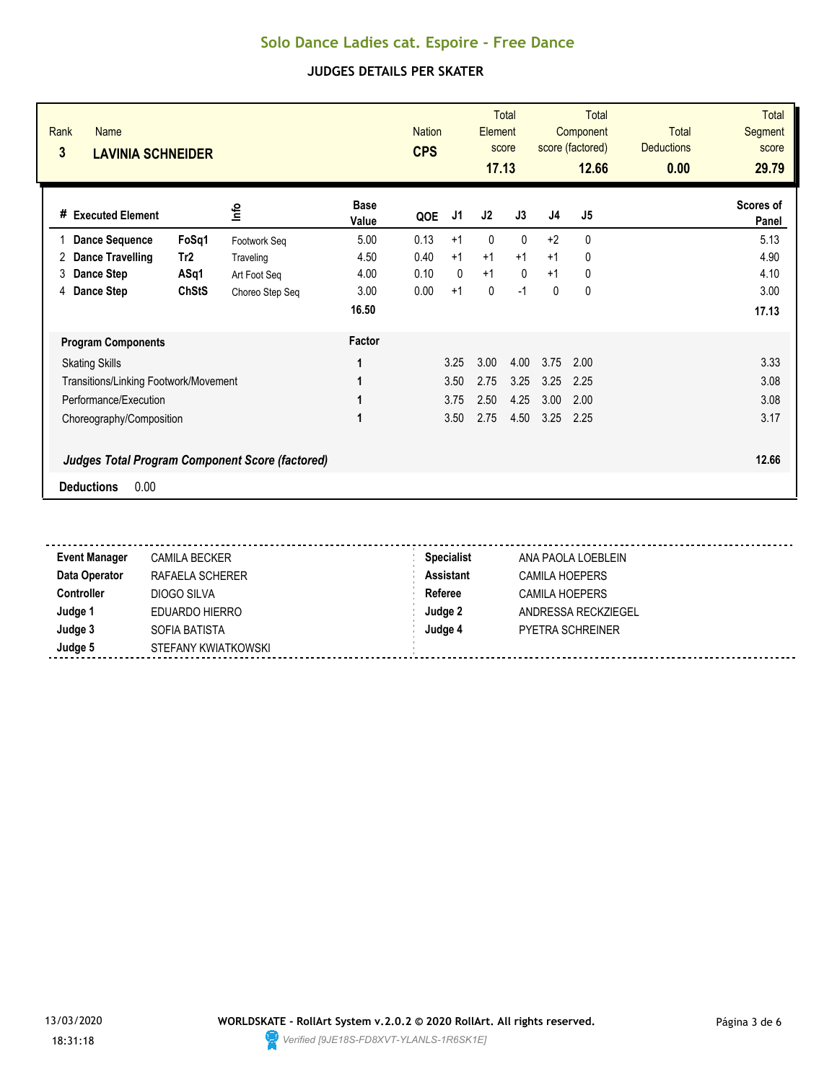| Rank<br><b>Name</b><br>3<br><b>LAVINIA SCHNEIDER</b>   |                 |                      | <b>Nation</b><br><b>CPS</b> |              | Element<br>17.13 | <b>Total</b><br>score |                | <b>Total</b><br>Component<br>score (factored)<br>12.66 | <b>Total</b><br><b>Deductions</b><br>0.00 | <b>Total</b><br><b>Segment</b><br>score<br>29.79 |
|--------------------------------------------------------|-----------------|----------------------|-----------------------------|--------------|------------------|-----------------------|----------------|--------------------------------------------------------|-------------------------------------------|--------------------------------------------------|
| <b>Executed Element</b><br>#                           | lnfo            | <b>Base</b><br>Value | QOE                         | J1           | J2               | J3                    | J <sub>4</sub> | J <sub>5</sub>                                         |                                           | Scores of<br>Panel                               |
| FoSq1<br><b>Dance Sequence</b>                         | Footwork Seq    | 5.00                 | 0.13                        | $+1$         | 0                | $\mathbf{0}$          | $+2$           | 0                                                      |                                           | 5.13                                             |
| <b>Dance Travelling</b><br>Tr <sub>2</sub><br>2        | Traveling       | 4.50                 | 0.40                        | $+1$         | $+1$             | $+1$                  | $+1$           | 0                                                      |                                           | 4.90                                             |
| ASq1<br>3<br>Dance Step                                | Art Foot Seg    | 4.00                 | 0.10                        | $\mathbf{0}$ | $+1$             | $\Omega$              | $+1$           | 0                                                      |                                           | 4.10                                             |
| <b>ChStS</b><br>Dance Step<br>4                        | Choreo Step Seq | 3.00                 | 0.00                        | $+1$         | 0                | $-1$                  | 0              | 0                                                      |                                           | 3.00                                             |
|                                                        |                 | 16.50                |                             |              |                  |                       |                |                                                        |                                           | 17.13                                            |
| <b>Program Components</b>                              |                 | Factor               |                             |              |                  |                       |                |                                                        |                                           |                                                  |
| <b>Skating Skills</b>                                  |                 | 1                    |                             | 3.25         | 3.00             | 4.00                  | 3.75           | 2.00                                                   |                                           | 3.33                                             |
| Transitions/Linking Footwork/Movement                  |                 | 1                    |                             | 3.50         | 2.75             | 3.25                  | 3.25           | 2.25                                                   |                                           | 3.08                                             |
| Performance/Execution                                  |                 | 1                    |                             | 3.75         | 2.50             | 4.25                  | 3.00           | 2.00                                                   |                                           | 3.08                                             |
| Choreography/Composition                               |                 | 1                    |                             | 3.50         | 2.75             | 4.50                  | 3.25           | 2.25                                                   |                                           | 3.17                                             |
| <b>Judges Total Program Component Score (factored)</b> |                 |                      |                             |              |                  |                       |                |                                                        |                                           | 12.66                                            |
| 0.00<br><b>Deductions</b>                              |                 |                      |                             |              |                  |                       |                |                                                        |                                           |                                                  |

| <b>Event Manager</b> | <b>CAMILA BECKER</b> | <b>Specialist</b> | ANA PAOLA LOEBLEIN      |
|----------------------|----------------------|-------------------|-------------------------|
| Data Operator        | RAFAELA SCHERER      | Assistant         | <b>CAMILA HOEPERS</b>   |
| <b>Controller</b>    | DIOGO SILVA          | Referee           | CAMILA HOEPERS          |
| Judge 1              | EDUARDO HIERRO       | Judge 2           | ANDRESSA RECKZIEGEL     |
| Judge 3              | SOFIA BATISTA        | Judge 4           | <b>PYETRA SCHREINER</b> |
| Judge 5              | STEFANY KWIATKOWSKI  |                   |                         |

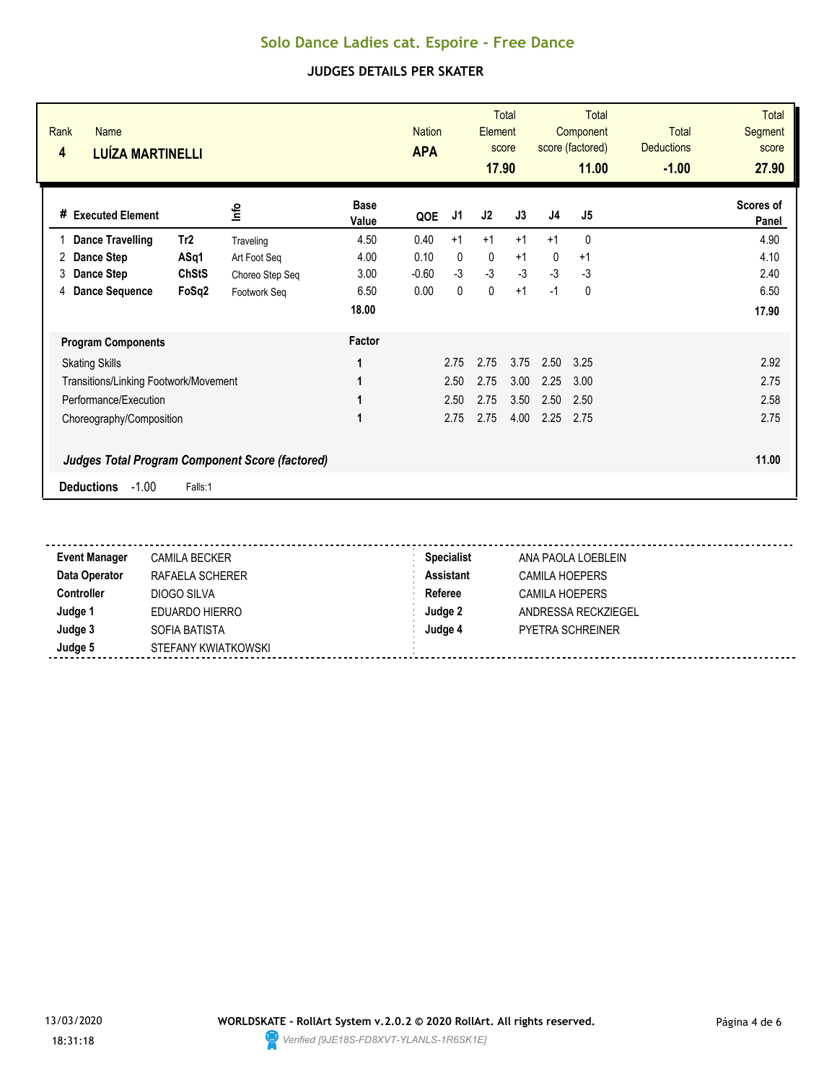| Rank<br><b>Name</b><br>4<br><b>LUÍZA MARTINELLI</b>    |              |                 |                      | <b>Nation</b><br><b>APA</b> |      | Element<br>17.90 | Total<br>score |                | Total<br>Component<br>score (factored)<br>11.00 | <b>Total</b><br><b>Deductions</b><br>$-1.00$ | <b>Total</b><br>Segment<br>score<br>27.90 |
|--------------------------------------------------------|--------------|-----------------|----------------------|-----------------------------|------|------------------|----------------|----------------|-------------------------------------------------|----------------------------------------------|-------------------------------------------|
| <b>Executed Element</b><br>#                           |              | ۴ů              | <b>Base</b><br>Value | QOE                         | J1   | J2               | J3             | J <sub>4</sub> | J5                                              |                                              | Scores of<br>Panel                        |
| <b>Dance Travelling</b>                                | Tr2          | Traveling       | 4.50                 | 0.40                        | $+1$ | $+1$             | $+1$           | $+1$           | $\mathbf{0}$                                    |                                              | 4.90                                      |
| Dance Step<br>2                                        | ASq1         | Art Foot Seq    | 4.00                 | 0.10                        | 0    | $\mathbf 0$      | $+1$           | $\mathbf{0}$   | $+1$                                            |                                              | 4.10                                      |
| 3<br><b>Dance Step</b>                                 | <b>ChStS</b> | Choreo Step Seq | 3.00                 | $-0.60$                     | $-3$ | $-3$             | $-3$           | $-3$           | -3                                              |                                              | 2.40                                      |
| <b>Dance Sequence</b><br>4                             | FoSq2        | Footwork Seq    | 6.50                 | 0.00                        | 0    | $\mathbf 0$      | $+1$           | $-1$           | 0                                               |                                              | 6.50                                      |
|                                                        |              |                 | 18.00                |                             |      |                  |                |                |                                                 |                                              | 17.90                                     |
| <b>Program Components</b>                              |              |                 | Factor               |                             |      |                  |                |                |                                                 |                                              |                                           |
| <b>Skating Skills</b>                                  |              |                 | 1                    |                             | 2.75 | 2.75             | 3.75           | 2.50           | 3.25                                            |                                              | 2.92                                      |
| Transitions/Linking Footwork/Movement                  |              |                 | 1                    |                             | 2.50 | 2.75             | 3.00           | 2.25           | 3.00                                            |                                              | 2.75                                      |
| Performance/Execution                                  |              |                 | 1                    |                             | 2.50 | 2.75             | 3.50           | 2.50           | 2.50                                            |                                              | 2.58                                      |
| Choreography/Composition                               |              |                 | 1                    |                             | 2.75 | 2.75             | 4.00           | 2.25           | 2.75                                            |                                              | 2.75                                      |
| <b>Judges Total Program Component Score (factored)</b> |              |                 |                      |                             |      |                  |                |                |                                                 |                                              | 11.00                                     |
| $-1.00$<br><b>Deductions</b>                           | Falls:1      |                 |                      |                             |      |                  |                |                |                                                 |                                              |                                           |

| <b>Event Manager</b> | <b>CAMILA BECKER</b> | <b>Specialist</b> | ANA PAOLA LOEBLEIN  |
|----------------------|----------------------|-------------------|---------------------|
| Data Operator        | RAFAELA SCHERER      | <b>Assistant</b>  | CAMILA HOEPERS      |
| <b>Controller</b>    | DIOGO SILVA          | Referee           | CAMILA HOEPERS      |
| Judge 1              | EDUARDO HIERRO       | Judge 2           | ANDRESSA RECKZIEGEL |
| Judge 3              | SOFIA BATISTA        | Judge 4           | PYETRA SCHREINER    |
| Judge 5              | STEFANY KWIATKOWSKI  |                   |                     |

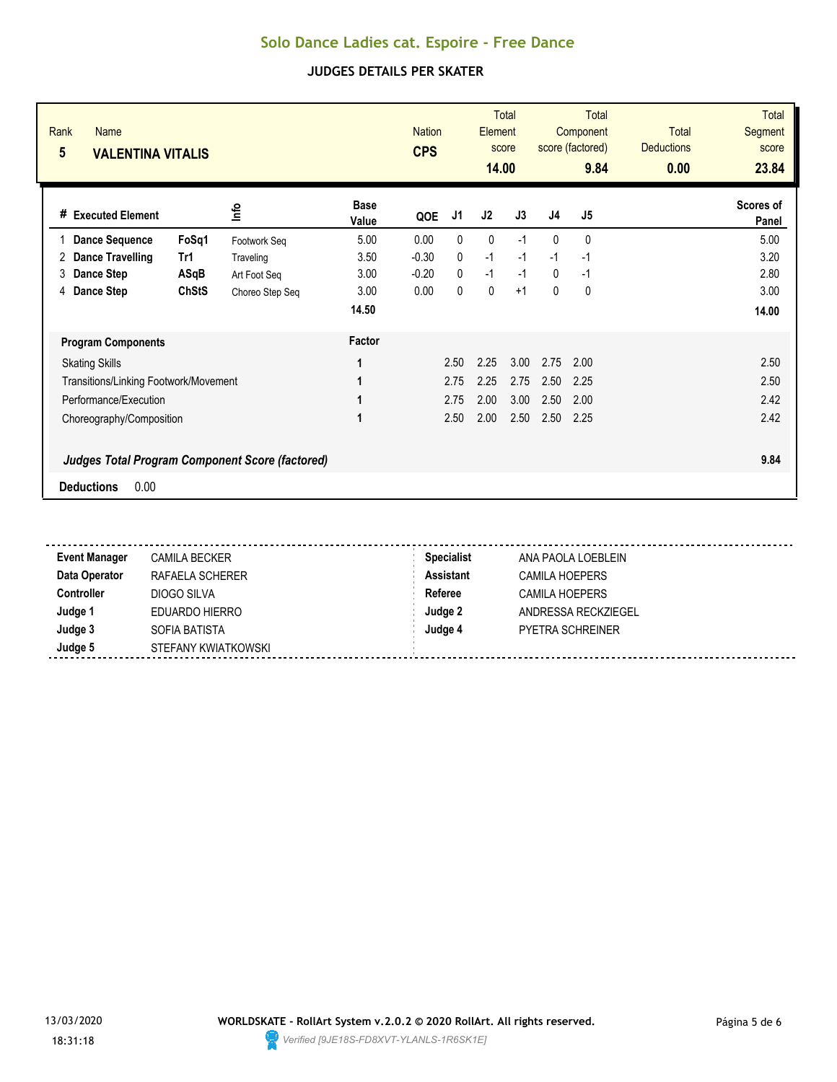| Rank<br><b>Name</b><br>5<br><b>VALENTINA VITALIS</b>   |                 |                      | <b>Nation</b><br><b>CPS</b> |              | Element<br>14.00 | <b>Total</b><br>score |              | Total<br>Component<br>score (factored)<br>9.84 | Total<br><b>Deductions</b><br>0.00 | <b>Total</b><br>Segment<br>score<br>23.84 |
|--------------------------------------------------------|-----------------|----------------------|-----------------------------|--------------|------------------|-----------------------|--------------|------------------------------------------------|------------------------------------|-------------------------------------------|
| <b>Executed Element</b><br>#                           | lnfo            | <b>Base</b><br>Value | QOE                         | J1           | J2               | J3                    | J4           | J <sub>5</sub>                                 |                                    | Scores of<br>Panel                        |
| FoSq1<br><b>Dance Sequence</b>                         | Footwork Seq    | 5.00                 | 0.00                        | $\mathbf{0}$ | $\mathbf{0}$     | $-1$                  | $\mathbf{0}$ | 0                                              |                                    | 5.00                                      |
| <b>Dance Travelling</b><br>Tr1<br>2                    | Traveling       | 3.50                 | $-0.30$                     | $\mathbf{0}$ | $-1$             | $-1$                  | $-1$         | $-1$                                           |                                    | 3.20                                      |
| Dance Step<br>ASqB<br>3                                | Art Foot Seg    | 3.00                 | $-0.20$                     | $\Omega$     | $-1$             | $-1$                  | $\mathbf{0}$ | $-1$                                           |                                    | 2.80                                      |
| <b>ChStS</b><br>Dance Step<br>4                        | Choreo Step Seq | 3.00                 | 0.00                        | $\mathbf{0}$ | 0                | $+1$                  | $\mathbf{0}$ | 0                                              |                                    | 3.00                                      |
|                                                        |                 | 14.50                |                             |              |                  |                       |              |                                                |                                    | 14.00                                     |
| <b>Program Components</b>                              |                 | Factor               |                             |              |                  |                       |              |                                                |                                    |                                           |
| <b>Skating Skills</b>                                  |                 | 1                    |                             | 2.50         | 2.25             | 3.00                  | 2.75         | 2.00                                           |                                    | 2.50                                      |
| Transitions/Linking Footwork/Movement                  |                 | 1                    |                             | 2.75         | 2.25             | 2.75                  | 2.50         | 2.25                                           |                                    | 2.50                                      |
| Performance/Execution                                  |                 | 1                    |                             | 2.75         | 2.00             | 3.00                  | 2.50         | 2.00                                           |                                    | 2.42                                      |
| Choreography/Composition                               |                 | 1                    |                             | 2.50         | 2.00             | 2.50                  | 2.50         | 2.25                                           |                                    | 2.42                                      |
| <b>Judges Total Program Component Score (factored)</b> |                 |                      |                             |              |                  |                       |              |                                                |                                    | 9.84                                      |
| 0.00<br><b>Deductions</b>                              |                 |                      |                             |              |                  |                       |              |                                                |                                    |                                           |

| <b>Event Manager</b> | <b>CAMILA BECKER</b> | <b>Specialist</b> | ANA PAOLA LOEBLEIN      |
|----------------------|----------------------|-------------------|-------------------------|
| Data Operator        | RAFAELA SCHERER      | Assistant         | <b>CAMILA HOEPERS</b>   |
| <b>Controller</b>    | DIOGO SILVA          | Referee           | CAMILA HOEPERS          |
| Judge 1              | EDUARDO HIERRO       | Judge 2           | ANDRESSA RECKZIEGEL     |
| Judge 3              | SOFIA BATISTA        | Judge 4           | <b>PYETRA SCHREINER</b> |
| Judge 5              | STEFANY KWIATKOWSKI  |                   |                         |